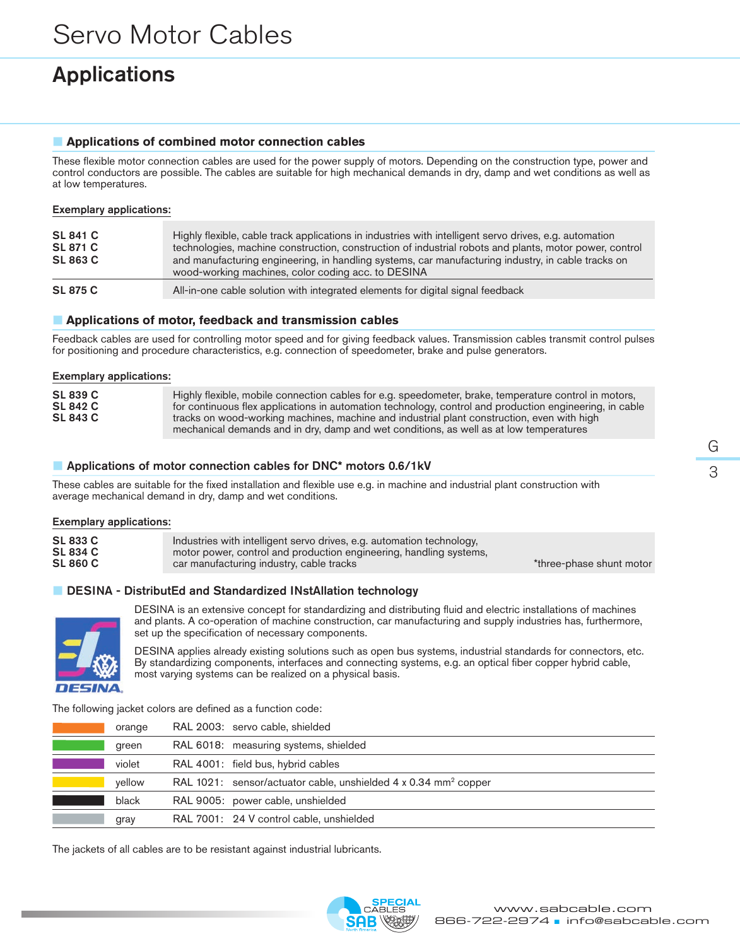# Servo Motor Cables

# Applications

### ■ **Applications of combined motor connection cables**

These flexible motor connection cables are used for the power supply of motors. Depending on the construction type, power and control conductors are possible. The cables are suitable for high mechanical demands in dry, damp and wet conditions as well as at low temperatures.

#### Exemplary applications:

| <b>SL 841 C</b><br><b>SL 871 C</b><br><b>SL 863 C</b> | Highly flexible, cable track applications in industries with intelligent servo drives, e.g. automation<br>technologies, machine construction, construction of industrial robots and plants, motor power, control<br>and manufacturing engineering, in handling systems, car manufacturing industry, in cable tracks on<br>wood-working machines, color coding acc. to DESINA |
|-------------------------------------------------------|------------------------------------------------------------------------------------------------------------------------------------------------------------------------------------------------------------------------------------------------------------------------------------------------------------------------------------------------------------------------------|
| <b>SL 875 C</b>                                       | All-in-one cable solution with integrated elements for digital signal feedback                                                                                                                                                                                                                                                                                               |

### ■ **Applications of motor, feedback and transmission cables**

Feedback cables are used for controlling motor speed and for giving feedback values. Transmission cables transmit control pulses for positioning and procedure characteristics, e.g. connection of speedometer, brake and pulse generators.

#### Exemplary applications:

| <b>SL 839 C</b> | Highly flexible, mobile connection cables for e.g. speedometer, brake, temperature control in motors,                                                                                |
|-----------------|--------------------------------------------------------------------------------------------------------------------------------------------------------------------------------------|
| <b>SL 842 C</b> | for continuous flex applications in automation technology, control and production engineering, in cable                                                                              |
| <b>SL 843 C</b> | tracks on wood-working machines, machine and industrial plant construction, even with high<br>mechanical demands and in dry, damp and wet conditions, as well as at low temperatures |

### ■ Applications of motor connection cables for DNC<sup>\*</sup> motors 0.6/1kV

These cables are suitable for the fixed installation and flexible use e.g. in machine and industrial plant construction with average mechanical demand in dry, damp and wet conditions.

#### Exemplary applications:

| <b>SL 833 C</b>                    | Industries with intelligent servo drives, e.g. automation technology,                                          |                          |
|------------------------------------|----------------------------------------------------------------------------------------------------------------|--------------------------|
| <b>SL 834 C</b><br><b>SL 860 C</b> | motor power, control and production engineering, handling systems,<br>car manufacturing industry, cable tracks | *three-phase shunt motor |
|                                    |                                                                                                                |                          |

## ■ **DESINA - DistributEd and Standardized INstAllation technology**



 DESINA is an extensive concept for standardizing and distributing fluid and electric installations of machines and plants. A co-operation of machine construction, car manufacturing and supply industries has, furthermore, set up the specification of necessary components.

 DESINA applies already existing solutions such as open bus systems, industrial standards for connectors, etc. By standardizing components, interfaces and connecting systems, e.g. an optical fiber copper hybrid cable, most varying systems can be realized on a physical basis.

The following jacket colors are defined as a function code:

| orange | RAL 2003: servo cable, shielded                                             |  |
|--------|-----------------------------------------------------------------------------|--|
| green  | RAL 6018: measuring systems, shielded                                       |  |
| violet | RAL 4001: field bus, hybrid cables                                          |  |
| yellow | RAL 1021: sensor/actuator cable, unshielded 4 x 0.34 mm <sup>2</sup> copper |  |
| black  | RAL 9005: power cable, unshielded                                           |  |
| gray   | RAL 7001: 24 V control cable, unshielded                                    |  |
|        |                                                                             |  |

The jackets of all cables are to be resistant against industrial lubricants.



G 3